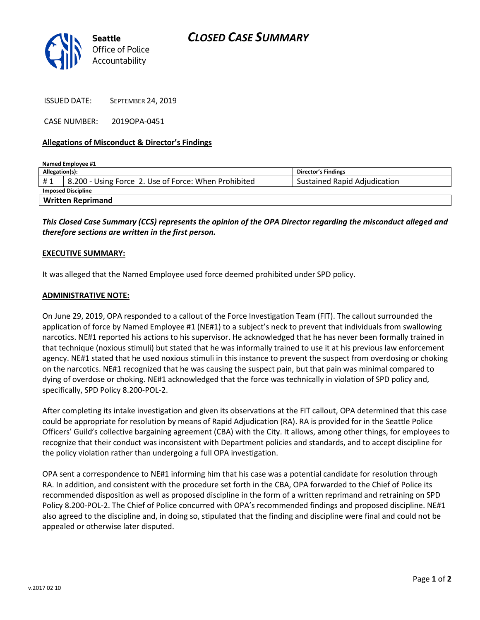

ISSUED DATE: SEPTEMBER 24, 2019

CASE NUMBER: 2019OPA-0451

## **Allegations of Misconduct & Director's Findings**

| Named Employee #1         |                                                      |                                     |
|---------------------------|------------------------------------------------------|-------------------------------------|
| Allegation(s):            |                                                      | <b>Director's Findings</b>          |
| #1                        | 8.200 - Using Force 2. Use of Force: When Prohibited | <b>Sustained Rapid Adjudication</b> |
| <b>Imposed Discipline</b> |                                                      |                                     |
| <b>Written Reprimand</b>  |                                                      |                                     |

*This Closed Case Summary (CCS) represents the opinion of the OPA Director regarding the misconduct alleged and therefore sections are written in the first person.* 

## **EXECUTIVE SUMMARY:**

It was alleged that the Named Employee used force deemed prohibited under SPD policy.

#### **ADMINISTRATIVE NOTE:**

On June 29, 2019, OPA responded to a callout of the Force Investigation Team (FIT). The callout surrounded the application of force by Named Employee #1 (NE#1) to a subject's neck to prevent that individuals from swallowing narcotics. NE#1 reported his actions to his supervisor. He acknowledged that he has never been formally trained in that technique (noxious stimuli) but stated that he was informally trained to use it at his previous law enforcement agency. NE#1 stated that he used noxious stimuli in this instance to prevent the suspect from overdosing or choking on the narcotics. NE#1 recognized that he was causing the suspect pain, but that pain was minimal compared to dying of overdose or choking. NE#1 acknowledged that the force was technically in violation of SPD policy and, specifically, SPD Policy 8.200-POL-2.

After completing its intake investigation and given its observations at the FIT callout, OPA determined that this case could be appropriate for resolution by means of Rapid Adjudication (RA). RA is provided for in the Seattle Police Officers' Guild's collective bargaining agreement (CBA) with the City. It allows, among other things, for employees to recognize that their conduct was inconsistent with Department policies and standards, and to accept discipline for the policy violation rather than undergoing a full OPA investigation.

OPA sent a correspondence to NE#1 informing him that his case was a potential candidate for resolution through RA. In addition, and consistent with the procedure set forth in the CBA, OPA forwarded to the Chief of Police its recommended disposition as well as proposed discipline in the form of a written reprimand and retraining on SPD Policy 8.200-POL-2. The Chief of Police concurred with OPA's recommended findings and proposed discipline. NE#1 also agreed to the discipline and, in doing so, stipulated that the finding and discipline were final and could not be appealed or otherwise later disputed.